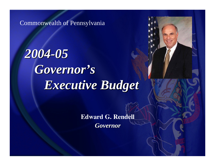Commonwealth of Pennsylvania

*2004-05 Governor's Governor's Executive Budget Executive Budget*

> **Edward G. Rendell** *Governor Governor*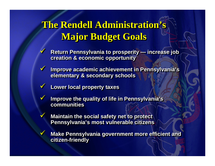# **The Rendell Administration's The Rendell Administration's The Rendell Administration's Major Budget Goals Major Budget Goals Major Budget Goals**

- $\sqrt{2}$ **W** Return Pennsylvania to prosperity — increase job **creation & economic opportunity creation & economic opportunity creation & economic opportunity**  $\checkmark$ **increase job**
- $\sqrt{}$ **V** Improve academic achievement in Pennsylvania's **elementary & secondary schools elementary & secondary schools elementary & secondary schools**  $\checkmark$
- $\sqrt{}$  **Lower local property taxes Lower local property taxes Lower local property taxes**  $\checkmark$

 $\sqrt{}$ 

 $\checkmark$ 

 $\sqrt{}$ 

 $\checkmark$ 

- $\sqrt{}$ **V** Improve the quality of life in Pennsylvania's **communitiescommunities communities** $\checkmark$
- **Maintain the social safety net to protect Pennsylvania's most vulnerable citizens Pennsylvania Pennsylvania's most vulnerable citizens s most vulnerable citizens**
- **Make Pennsylvania government more efficient and citizen-friendly citizen citizen -friendly friendly**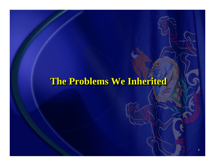## **The Problems We Inherited The Problems We Inherited The Problems We Inherited**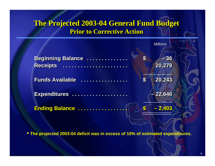#### **The Projected 2003-04 General Fund Budget The Projected 2003 The Projected 2003 -04 General Fund Budget 04 General Fund Budget Prior to Corrective Action**

|                                              |                       | <b>Millions</b> |
|----------------------------------------------|-----------------------|-----------------|
| <b>Beginning Balance </b><br><b>Receipts</b> | $\boldsymbol{\theta}$ | $-36$<br>20,279 |
| <b>Funds Available</b><br>.                  | $\mathbf S$           | 20,243          |
| Expenditures                                 |                       | $-22,646$       |
| <b>Ending Balance </b>                       |                       |                 |

• **The projected 2003-04 deficit was in excess of 10% of estimated expenditures.**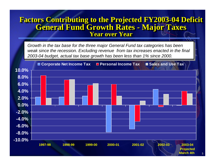#### **Factors Contributing to the Projected FY2003-04 Deficit Factors Contributing to the Projected FY2003 Factors Contributing to the Projected FY2003-04 Deficit 04 Deficit General Fund Growth Rates - Major Taxes General Fund Growth Rates General Fund Growth Rates - Major Taxes Major Taxes Year over YearYear over Year Year over Year**

*Growth in the tax base for the three major General Fund tax categories has been weak since the recession. Excluding revenue from tax increases enacted in the final 2003-04 budget, actual tax base growth has been less than 1% since 2000.*

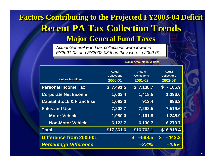## **Factors Contributing to the Projected FY2003-04 Deficit Factors Contributing to the Projected FY2003 Factors Contributing to the Projected FY2003-04 Deficit 04 Deficit Recent PA Tax Collection Trends Major General Fund Taxes Major General Fund Taxes Major General Fund Taxes**

*Actual General Fund tax collections were lower in FY2001-02 and FY2002-03 than they were in 2000-01.*

| <b>Dollars in Millions</b>           | <b>Actual</b><br><b>Collections</b><br>2000-01 | <b>Actual</b><br><b>Collections</b><br>2001-02 | <b>Actual</b><br><b>Collections</b><br>2002-03 |
|--------------------------------------|------------------------------------------------|------------------------------------------------|------------------------------------------------|
| <b>Personal Income Tax</b>           | \$7,491.5                                      | \$7,138.7                                      | 7,105.9<br>$\mathbf{s}$                        |
| <b>Corporate Net Income</b>          | 1,603.4                                        | 1,418.5                                        | 1,396.6                                        |
| <b>Capital Stock &amp; Franchise</b> | 1,063.0                                        | 913.4                                          | 896.3                                          |
| <b>Sales and Use</b>                 | 7,203.7                                        | 7,292.5                                        | 7,519.6                                        |
| <b>Motor Vehicle</b>                 | 1,080.0                                        | 1,161.8                                        | 1,245.9                                        |
| <b>Non-Motor Vehicle</b>             | 6,123.7                                        | 6,130.7                                        | 6,273.7                                        |
| <b>Total</b>                         | \$17,361.6                                     | \$16,763.1                                     | \$16,918.4                                     |
| Difference from 2000-01              |                                                | $-598.5$<br>S                                  | $-443.2$                                       |
| <b>Percentage Difference</b>         |                                                | $-3.4%$                                        | $-2.6%$                                        |

**(Dollar Amounts in Millions)**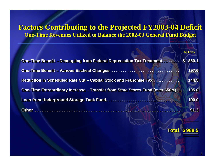#### **Factors Contributing to the Projected FY2003-04 Deficit Factors Contributing to the Projected FY2003 Factors Contributing to the Projected FY2003 -04 Deficit 04 Deficit One-Time Revenues Utilized to Balance the 2002-03 General Fund Budget One-Time Revenues Utilized to Balance the 2002-03 General Fund Budget**

|                                                                                 | <b>Millions</b> |
|---------------------------------------------------------------------------------|-----------------|
| One-Time Benefit – Decoupling from Federal Depreciation Tax Treatment \$        | 350.1           |
|                                                                                 | 197.6           |
| <b>Reduction in Scheduled Rate Cut - Capital Stock and Franchise Tax </b>       | 144.5           |
| One-Time Extraordinary Increase – Transfer from State Stores Fund (over \$50M). | 105.0           |
|                                                                                 | 100.0           |
|                                                                                 | 91.3            |
|                                                                                 |                 |

#### **Total \$ 988.5 Total \$ 988.5**

**\_\_\_\_\_\_\_**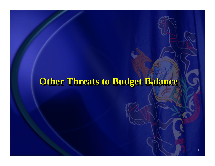# **Other Threats to Budget Balance**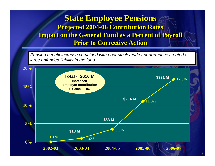#### **State Employee Pensions State Employee Pensions State Employee Pensions Projected 2004-06 Contribution Rates Projected 2004 Projected 2004-06 Contribution Rates 06 Contribution Rates Impact on the General Fund as a Percent of Payroll Impact on the General Fund as a Percent of Payroll Impact on the General Fund as a Percent of Payroll Prior to Corrective Action**

*Pension benefit increase combined with poor stock market performance created a large unfunded liability in the fund.*

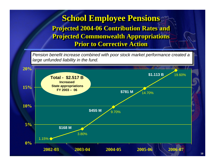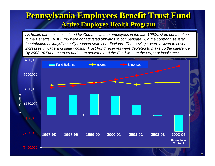## **Pennsylvania Employees Benefit Trust Fund Pennsylvania Employees Benefit Trust Fund Pennsylvania Employees Benefit Trust Fund Active Employee Health Program Active Employee Health Program Active Employee Health Program**

As health care costs escalated for Commonwealth employees in the late 1990s, state contributions *to the Benefits Trust Fund were not adjusted upwards to compensate. On the contrary, several "contribution holidays" actually reduced state contributions. The "savings" were utilized to cover increases in wage and salary costs. Trust Fund reserves were depleted to make up the difference. By 2003-04 Fund reserves had been depleted and the Fund was on the verge of insolvency.*

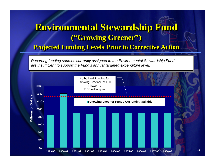## **Environmental Stewardship Fund Environmental Stewardship Fund Environmental Stewardship Fund ("Growing Greener") ("Growing Greener") ("Growing Greener")**

#### **Projected Funding Levels Prior to Corrective Action Projected Funding Levels Projected Funding Levels Prior to Corrective Action Prior to Corrective Action**

*Recurring funding sources currently assigned to the Environmental Stewardship Fund Recurring funding sources currently assigned to the Environmental Stewardship Fund are insufficient to support the Fund's annual targeted expenditure level. are insufficient to support the Fund's annual targeted expenditure level.*

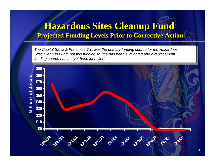## **Hazardous Sites Cleanup Fund Hazardous Sites Cleanup Fund Hazardous Sites Cleanup Fund Projected Funding Levels Prior to Corrective Action Projected Funding Levels Prior to Corrective Action Projected Funding Levels Prior to Corrective Action**

*The Capital Stock & Franchise Tax was the primary funding source for the Hazardous The Capital Stock & Franchise Tax was the primary funding source for the Hazardous Sites Cleanup Fund, but this funding source has been eliminated and a replacement Sites Cleanup Fund, but this funding source has been eliminated and a replacement funding source has not yet been identified. funding source has not yet been identified.* 

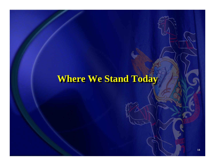# **Where We Stand Today Where We Stand Today Where We Stand Today**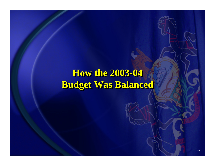# **How the 2003-04 How the 2003 How the 2003 -04 Budget Was Balanced Budget Was Balanced Budget Was Balanced**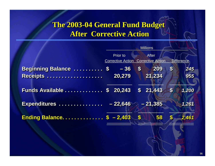### **The 2003-04 General Fund Budget The 2003 The 2003 -04 General Fund Budget 04 General Fund Budget After Corrective Action After Corrective Action After Corrective Action**

|                                 | <b>Millions</b>                             |              |                                          |                           |                   |  |  |
|---------------------------------|---------------------------------------------|--------------|------------------------------------------|---------------------------|-------------------|--|--|
|                                 | <b>Prior to</b><br><b>Corrective Action</b> |              | <b>After</b><br><b>Corrective Action</b> |                           | <b>Difference</b> |  |  |
| <b>Beginning Balance  \$</b>    | $-36$                                       | $\mathbf{s}$ | 209                                      | $\boldsymbol{\$}$         | 245               |  |  |
|                                 | 20,279                                      |              | 21,234                                   |                           | 955               |  |  |
| Funds Available \$              | 20,243                                      |              | \$21,443                                 | $\boldsymbol{\mathsf{s}}$ | 1,200             |  |  |
| Expenditures                    | $-22,646 - 21,385$                          |              |                                          |                           | 1,261             |  |  |
| <b>Ending Balance \$ -2,403</b> |                                             | $\mathbf{S}$ | 58                                       |                           | 2,461             |  |  |
|                                 |                                             |              |                                          |                           |                   |  |  |
|                                 |                                             |              |                                          |                           |                   |  |  |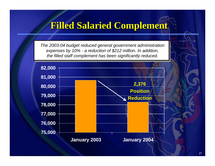## **Filled Salaried Complement Filled Salaried Complement Filled Salaried Complement**

*The 2003-04 budget reduced general government administration expenses by 10% - a reduction of \$212 million. In addition, the filled staff complement has been significantly reduced.*

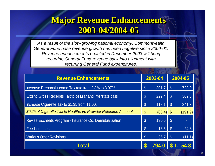## **Major Revenue Enhancements Major Revenue Enhancements Major Revenue Enhancements 2003-04/2004-05 2003 -04/2004 04/2004 -05**

*As a result of the slow-growing national economy, Commonwealth General Fund base revenue growth has been negative since 2000-01. Revenue enhancements enacted in December 2003 will bring recurring General Fund revenue back into alignment with recurring General Fund expenditures.*

| 2003-04<br><b>Revenue Enhancements</b>                            |                       |              |               | 2004-05 |  |  |
|-------------------------------------------------------------------|-----------------------|--------------|---------------|---------|--|--|
| Increase Personal Income Tax rate from 2.8% to 3.07%              | $\mathcal{S}$         | $301.7$   \$ |               | 728.9   |  |  |
| <b>Extend Gross Receipts Tax to cellular and interstate calls</b> | $\mathcal{S}$         | 222.4        | $\mathcal{S}$ | 362.3   |  |  |
| Increase Cigarette Tax to \$1.35 from \$1.00.                     | $\mathcal{S}$         | 118.1        | $\$$          | 241.3   |  |  |
| \$0.25 of Cigarette Tax to Healthcare Provider Retention Account  | $\boldsymbol{\theta}$ | $(88.4)$ \$  |               | (191.9) |  |  |
| Revise Escheats Program - Insurance Co. Demutualization           | $\mathcal{S}$         | 190.0        | $\mathcal{S}$ |         |  |  |
| Fee Increases                                                     | $\mathcal{S}$         | 13.5         | $\mathcal{S}$ | 24.8    |  |  |
| <b>Various Other Revisions</b>                                    | $\mathcal{S}$         | 36.7         | $\mathcal{S}$ | (11.1)  |  |  |
| Total                                                             |                       | 794.0        |               | .154.3  |  |  |
|                                                                   |                       |              |               |         |  |  |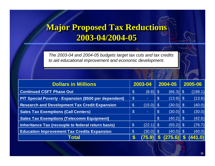## **Major Proposed Tax Reductions Major Proposed Tax Reductions Major Proposed Tax Reductions 2003-04/2004-05 2003 -04/2004 04/2004 -05**

*The 2003-04 and 2004-05 budgets target tax cuts and tax credits to aid educational improvement and economic development.*

| <b>Dollars in Millions</b>                                   | 2003-04                    |             | 2004-05       |               | 2005-06 |         |
|--------------------------------------------------------------|----------------------------|-------------|---------------|---------------|---------|---------|
| <b>Continued CSFT Phase Out</b>                              | $\boldsymbol{\mathcal{L}}$ | $(8.8)$ \$  |               | $(66.3)$   \$ |         | (198.1) |
| <b>PIT Special Poverty - Expansion (\$500 per dependent)</b> | $\mathcal{S}$              |             | $\sqrt{3}$    | $(13.9)$ \$   |         | (13.6)  |
| <b>Research and Development Tax Credit Expansion</b>         | $\boldsymbol{\mathcal{S}}$ | $(15.0)$ \$ |               | $(30.0)$ \$   |         | (40.0)  |
| <b>Sales Tax Exemptions (Call Centers)</b>                   | $\boldsymbol{\mathcal{S}}$ |             | $\mathcal{C}$ | $(30.0)$ \$   |         | (30.0)  |
| <b>Sales Tax Exemptions (Telecomm Equipment)</b>             |                            |             | \$            | $(40.2)$ \$   |         | (42.6)  |
| Inheritance Tax (recouple to federal return basis)           | $\boldsymbol{\mathcal{S}}$ | $(22.1)$ \$ |               | $(55.2)$ \$   |         | (76.7)  |
| <b>Education Improvement Tax Credits Expansion</b>           | $\mathcal{S}$              | $(30.0)$ \$ |               | $(40.0)$ \$   |         | (40.0)  |
| <b>Total</b>                                                 | S                          | 75.9        |               | 75.6)         |         | 1.0)    |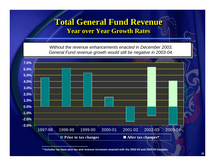#### **Total General Fund Revenue Total General Fund Revenue Total General Fund Revenue Year over Year Growth Rates Year over Year Growth Rates Year over Year Growth Rates**

*Without the revenue enhancements enacted in December 2003, General Fund revenue growth would still be negative in 2003-04.*



**\* Includes tax base plus tax and revenue increases enacted with the 2002-03 and 2003-04 budgets.**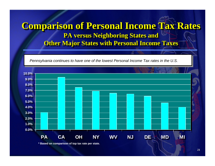## **Comparison of Personal Income Tax Rates Comparison of Personal Income Tax Rates Comparison of Personal Income Tax Rates PA versus Neighboring States and PA versus Neighboring States and PA versus Neighboring States and Other Major States with Personal Income Taxes**

*Pennsylvania continues to have one of the lowest Personal Income Tax rates in the U.S.*



**\* Based on comparison of top tax rate per state.**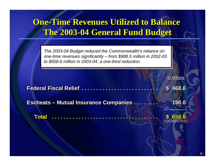## **One-Time Revenues Utilized to Balance The 2003-04 General Fund Budget The 2003 The 2003 -04 General Fund Budget 04 General Fund Budget**

*The 2003-04 Budget reduced the Commonwealth's reliance on one-time revenues significantly – from \$988.5 million in 2002-03 to \$658.6 million in 2003-04, a one-third reduction.*

|                                               | In Millions           |
|-----------------------------------------------|-----------------------|
| Federal Fiscal Relief                         | 468.6<br>$\mathbf{s}$ |
| <b>Escheats - Mutual Insurance Companies </b> | 190.0                 |
| <b>Total</b>                                  | 658.6                 |
|                                               |                       |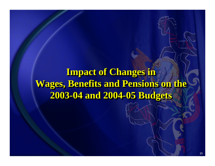# **Impact of Changes in Wages, Benefits and Pensions on the Wages, Benefits and Pensions on the Wages, Benefits and Pensions on the 2003-04 and 2004-05 Budgets 2003 -04 and 2004 04 and 2004 -05 Budgets 05 Budgets**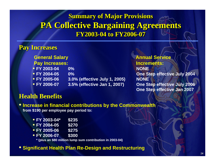### **Summary of Major Provisions PA Collective Bargaining Agreements PA Collective Bargaining Agreements PA Collective Bargaining Agreements FY2003-04 to FY2006-07FY2003-04 to FY2006 04 to FY2006-07**

#### **Pay Increases**

**General Salary Annual Service Pay Increases: Increments:**

- **FY 2003-04 0% NONEFY 2004-05**
- 
- **FY 2006-07**
- **FY 2005-06 3.0% (effective July 1, 2005) NONE**
	-

**FIGURE 2004 CONSIDERED ASSESSED ASSESSED AND LODGE STEP EFFECTIVE JUIV 2004 FY 2006-07 3.5% (effective Jan 1, 2007) One Step effective July 2006 One Step effective Jan 2007**

#### **Health Benefits**

• **Increase in financial contributions by the Commonwealth from \$190 per employee pay period to:**

- **FY 2003-04\* \$235**
- **FY 2004-05 \$270**
- **FY 2005-06 \$275**
- **FY 2006-07 \$300**

**\* (plus an \$80 million lump sum contribution in 2003-04)**

#### • **Significant Health Plan Re-Design and Restructuring**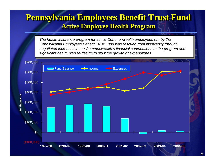## **Pennsylvania Employees Benefit Trust Fund Pennsylvania Employees Benefit Trust Fund Pennsylvania Employees Benefit Trust Fund Active Employee Health Program Active Employee Health Program Active Employee Health Program**

*The health insurance program for active Commonwealth employees run by the Pennsylvania Employees Benefit Trust Fund was rescued from insolvency through negotiated increases in the Commonwealth's financial contributions to the program and significant health plan re-design to slow the growth of expenditures.*

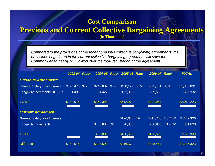#### **Cost Comparison Cost Comparison Cost Comparison**

#### **Previous and Current Collective Bargaining Agreements Previous and Current Collective Bargaining Agreements Previous and Current Collective Bargaining Agreements**

**(In Thousands) (In Thousands) (In Thousands)**

*Compared to the provisions of the recent previous collective bargaining agreements, the provisions negotiated in the current collective bargaining agreement will save the Commonwealth nearly \$1.3 billion over the four-year period of the agreement.*

|                                    | 2003-04 Rate*       | 2004-05      | <b>Rate* 2005-06 Rate</b> | 2006-07 Rate*      |                   | <b>TOTAL</b> |
|------------------------------------|---------------------|--------------|---------------------------|--------------------|-------------------|--------------|
| <b>Previous Agreement:</b>         |                     |              |                           |                    |                   |              |
| <b>General Salary Pay Increase</b> | $$98,476$ 3%        | \$242,882 3% | \$420,122 3.5%            | \$622,411          | 3.5%              | \$1,383,891  |
| Longevity Increments (All Jan. 1)  | 51,499              | 121,427      | 192,850                   | 269,556            |                   | 635,332      |
|                                    |                     |              |                           |                    |                   |              |
| <b>TOTAL</b>                       | \$149,975           | \$364,309    | \$612,972                 | \$891,967          |                   | \$2,019,223  |
|                                    |                     |              |                           |                    |                   |              |
| <b>Current Agreement:</b>          |                     |              |                           |                    |                   |              |
| <b>General Salary Pay Increase</b> | and the contract of |              | \$126,600 3%              | \$215,700 3.5% 1/1 |                   | \$342,300    |
| <b>Longevity Increments</b>        |                     | \$60,8007/1  | 70,000                    |                    | 250,800 7/1 & 1/1 | 381,600      |
|                                    |                     |              |                           |                    |                   |              |
| <b>TOTAL</b>                       |                     | \$60,800     | \$196,600                 | \$466,500          |                   | \$723,900    |
|                                    |                     |              |                           |                    |                   |              |
| <b>Difference</b>                  | \$149,975           | \$303,509    | \$416,372                 | \$425,467          |                   | \$1,295,323  |
|                                    |                     |              |                           |                    |                   |              |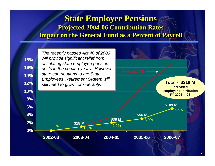### **State Employee Pensions State Employee Pensions State Employee Pensions Projected 2004-06 Contribution Rates Projected 2004 Projected 2004-06 Contribution Rates 06 Contribution Rates Impact on the General Fund as a Percent of Payroll Impact on the General Fund as a Percent of Payroll Impact on the General Fund as a Percent of Payroll**

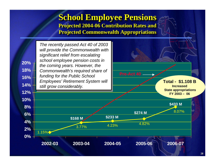#### **School Employee Pensions School Employee Pensions School Employee Pensions Projected 2004-06 Contribution Rates and Projected 2004 Projected 2004-06 Contribution Rates and 06 Contribution Rates and Projected Commonwealth Appropriations Projected Commonwealth Appropriations Projected Commonwealth Appropriations**

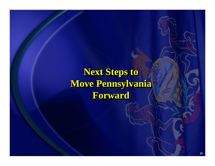# **Next Steps to Move Pennsylvania Move Pennsylvania Move Pennsylvania Forward Forward Forward**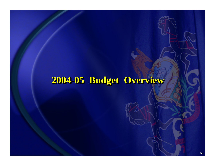## **2004-05 Budget Overview -05 Budget Overview 05 Budget Overview**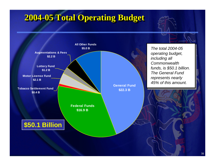## **2004 2004-05 Total Operating Budget -05 Total Operating Budget 05 Total Operating Budget**

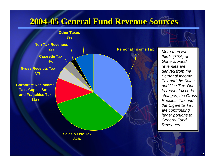## **2004 2004-05 General Fund Revenue Sources -05 General Fund Revenue Sources 05 General Fund Revenue Sources**



 *More than two- thirds (70%) of General Fund revenues are derived from the Personal Income Tax and the Sales and Use Tax. Due to recent tax code changes, the Gross Receipts Tax and the Cigarette Tax are contributing larger portions to General Fund. Revenues.*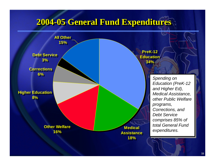## **2004 2004-05 General Fund Expenditures -05 General Fund Expenditures 05 General Fund Expenditures**

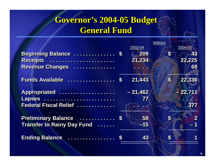## **Governor's 2004-05 Budget<br>General Fund General Fund**

|                                   |                | <b>Millions</b>           |                         |  |
|-----------------------------------|----------------|---------------------------|-------------------------|--|
| Beginning Balance  \$             | 2003-04<br>209 | $\boldsymbol{\$}$         | 2004-05<br>43           |  |
| Receipts                          | 21,234         |                           | 22,225                  |  |
| Revenue Changes                   |                |                           | 68                      |  |
| Funds Available  \$               | 21,443         | $\boldsymbol{s}$          | 22,336                  |  |
| Appropriated                      | $-21,462$      |                           | $-22,711$               |  |
| Lapses                            | 77             |                           | <b>ALL AND</b>          |  |
| Federal Fiscal Relief             |                |                           | 377                     |  |
| <b>Preliminary Balance  \$</b>    | 58             | $\boldsymbol{s}$          | $\overline{\mathbf{2}}$ |  |
| <b>Transfer to Rainy Day Fund</b> | $-15$          |                           | $-1$                    |  |
|                                   | 43             | $\boldsymbol{\mathsf{s}}$ | 1                       |  |
|                                   |                |                           |                         |  |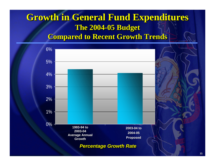# **Growth in General Fund Expenditures Growth in General Fund Expenditures in Fund Expenditures The 2004-05 Budget The 2004 The 2004-05 Budget 05 Budget**

**Compared to Recent Growth Trends Compared to Recent Growth Trends Compared to Recent Growth Trends**

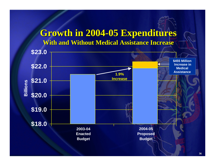### **Growth in 2004 Growth in 2004-05 Expenditures 05 Expenditures With and Without Medical Assistance Increase**

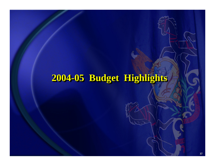## **2004-05 Budget Highlights -05 Budget Highlights 05 Budget Highlights**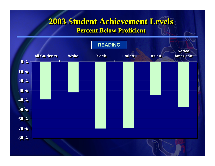# **2003 Student Achievement Levels 2003 Student Achievement Levels 2003 Student Achievement Levels**

 $\textbf{Percent Below Proficient}$ 

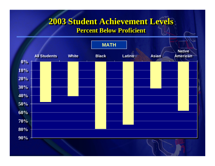# **2003 Student Achievement Levels 2003 Student Achievement Levels 2003 Student Achievement Levels**

 $\textbf{Percent Below Proficient}$ 

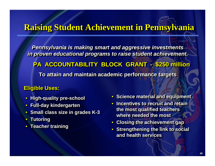#### **Raising Student Achievement in Pennsylvania**

*Pennsylvania is making smart and aggressive investments Pennsylvania is making smart and ag Pennsylvania is making smart and aggressive investments gressive investments in proven educational programs to raise student achievement. in proven educational programs in proven educational programs to raise student achievement. to raise student achievement.* **PA ACCOUNTABILITY BLOCK GRANT - \$250 million To attain and maintain academic performance targets To attain and maintain academic performance targets To attain and maintain academic performance targets \$250 million \$250 million**

#### **Eligible Uses: Eligible Uses: Eligible Uses:**

- **High-quality pre-school High -quality pre quality pre -school**
- **Full-day kindergarten Full -day kindergarten day kindergarten**
- **Small class size in grades K-3 Small class size in grades K Small class size in grades K-3**
- **Tutoring Tutoring Tutoring**
- **Teacher training Teacher training Teacher training**
- **Science material and equipment**
- **Incentives to recruit and retain the most qualified teachers the most qualified teachers the most qualified teachers where needed the mostwhere needed the most where needed the most**
- **Closing the achievement gap Closing the achievement gap Closing the achievement gap**
- **Strengthening the link to social and health servicesand health services and health services**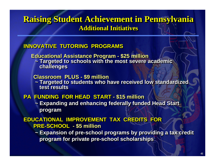#### **Raising Student Achievement in Pennsylvania Raising Student Achievement in Pennsylvania Raising Student Achievement in Pennsylvania Additional InitiativesAdditional Initiatives Additional Initiatives**

#### **INNOVATIVE TUTORING PROGRAMSINNOVATIVE TUTORING PROGRAMS INNOVATIVE TUTORING PROGRAMS**

**Educational Assistance Program - \$25 million ~ Targeted to schools with the most severe academic challenges Educational Assistance Program Educational Assistance Program - \$25 million \$25 million ~ Targeted to schools with the most severe academic Targeted to schools with the most severe academic challenges challenges**

**Classroom PLUS - \$9 million Classroom PLUS Classroom PLUS - \$9 million \$9 million**

~ Targeted to students who have received low standardized<br>test results **test results test results**

#### **PA FUNDING FOR HEAD START - \$15 million PA FUNDING FOR HEAD START PA FUNDING FOR HEAD START - \$15 million \$15 million**

**~ Expanding and enhancing federally funded Head Start ~ Expanding and enhancing fe Expanding and enhancing federally funded Head Start derally funded Head Start program program**

#### **EDUCATIONAL IMPROVEMENT TAX CREDITS FOR EDUCATIONAL IMPROVEMENT TAX CREDITS EDUCATIONAL IMPROVEMENT TAX CREDITS FOR FOR PRE-SCHOOL - \$5 million PRE -SCHOOL - \$5 million \$5 million**

**~ Expansion of pre-school programs by providing a tax credit ~ Expansion of pre Expansion of pre -school programs by providing a tax credit school programs by providing a tax credit program for private pre-school scholarships program for private pre program for private pre -school scholarships school scholarships**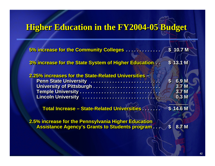## **Higher Education in the FY2004-05 Budget**

| 5% increase for the Community Colleges                | \$ 10.7 M                                 |
|-------------------------------------------------------|-------------------------------------------|
| 3% increase for the State System of Higher Education  | \$13.1 <sub>M</sub>                       |
| 2.25% increases for the State-Related Universities -  |                                           |
| Penn State University<br>University of Pittsburgh     | $\mathbf{s}$<br>6.9 M<br>3.7 <sub>M</sub> |
|                                                       | 3.7 M                                     |
| Lincoln University                                    | 0.3 <sub>M</sub>                          |
|                                                       | \$14.6 M                                  |
| 2.5% increase for the Pennsylvania Higher Education   |                                           |
| <b>Assistance Agency's Grants to Students program</b> | 8.7 M<br>$\mathbf{s}$                     |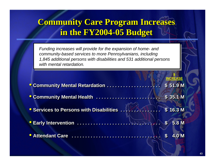## **Community Care Program Increases in the FY2004-05 Budget in the FY2004 in the FY2004 -05 Budget 05 Budget**

*Funding increases will provide for the expansion of home- and community-based services to more Pennsylvanians, including 1,845 additional persons with disabilities and 531 additional persons with mental retardation.*

|                                                                      | <b>INCREASE</b>              |
|----------------------------------------------------------------------|------------------------------|
|                                                                      | \$51.9 <sub>M</sub>          |
| <b>Community Mental Health </b>                                      | \$35.1 <sub>M</sub>          |
| <b>Services to Persons with Disabilities  Washing State 3 16.3 M</b> |                              |
|                                                                      | 5.8 M<br>$\mathbf{\degree}$  |
|                                                                      | $\overline{4.0~$ M $}$<br>S. |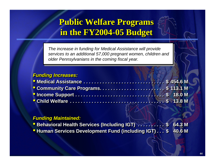### **Public Welfare Programs Public Welfare Programs Public Welfare Programs in the FY2004-05 Budget in the FY2004 in the FY2004 -05 Budget 05 Budget**

*The increase in funding for Medical Assistance will provide services to an additional 57,000 pregnant women, children and older Pennsylvanians in the coming fiscal year.*

#### *Funding Increases: Funding Increases: Funding Increases:*

#### *Funding Maintained: Funding Maintained: Funding Maintained:*

- **Behavioral Health Services (Including IGT)** . . . . . . . . . \$ 64.3 M **\$ 64.3 M**
- **Human Services Development Fund (including IGT)... \$ 40.6 M \$ 40.6 M**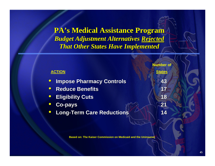**PA's Medical Assistance Program PA's Medical Assistance Program** *Budget Adjustment Alternatives Budget Adjustment Alternatives Rejected Rejected That Other States Have Implemented That Other States Have Implemented*

| <b>ACTION</b>                    | <b>Number of</b><br><b>States</b> |
|----------------------------------|-----------------------------------|
| <b>Impose Pharmacy Controls</b>  | 43                                |
| • Reduce Benefits                | 17                                |
| <b>• Eligibility Cuts</b>        | 18                                |
| <b>Co-pays</b>                   | 21                                |
| <b>Long-Term Care Reductions</b> | 14                                |

**Based on: The Kaiser Commission on Medicaid and the Uninsured.**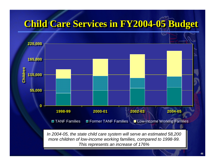# **Child Care Services in FY2004 Child Care Services in FY2004 Child Care Services in FY2004-05 Budget -05 Budget 05 Budget**

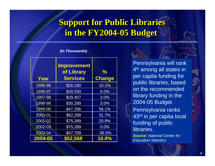## **Support for Public Libraries in the FY2004-05 Budget in the FY2004 in the FY2004 -05 Budget 05 Budget**

#### **(In Thousands)**

| Year    | <b>Improvement</b><br>of Library<br><b>Services</b> | $\frac{1}{2}$<br><b>Change</b> |
|---------|-----------------------------------------------------|--------------------------------|
| 1995-96 | \$26,190                                            | 10.1%                          |
| 1996-97 | \$28,550                                            | 9.0%                           |
| 1997-98 | \$29,407                                            | 3.0%                           |
| 1998-99 | \$30,289                                            | 3.0%                           |
| 1999-00 | \$47,286                                            | 56.1%                          |
| 2000-01 | \$62,289                                            | 31.7%                          |
| 2001-02 | \$75,289                                            | 20.9%                          |
| 2002-03 | \$75,289                                            | 0.0%                           |
| 2003-04 | \$47,789                                            | $-36.5%$                       |
| 2004-05 | \$52,568                                            | 10.0%                          |

Pennsylvania will rank 4<sup>th</sup> among all states in per capita funding for public libraries, based on the recommended library funding in the 2004-05 Budget.

Pennsylvania ranks 43rd in per capita local funding of public libraries.

*Source: National Center for Education Statistics*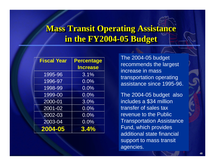## **Mass Transit Operating Assistance in the FY2004-05 Budget in the FY2004 in the FY2004 -05 Budget 05 Budget**

| <b>Fiscal Year</b> | <b>Percentage</b> |
|--------------------|-------------------|
|                    | <b>Increase</b>   |
| 1995-96            | 3.1%              |
| 1996-97            | 0.0%              |
| 1998-99            | 0.0%              |
| 1999-00            | 0.0%              |
| 2000-01            | 3.0%              |
| $2001 - 02$        | 0.0%              |
| 2002-03            | 0.0%              |
| 2003-04            | 0.0%              |
| 2004-05            | 3.4%              |

The 2004-05 budget recommends the largest increase in mass transportation operating assistance since 1995-96.

The 2004-05 budget also includes a \$34 million transfer of sales tax revenue to the Public Transportation Assistance Fund, which provides additional state financial support to mass transit agencies.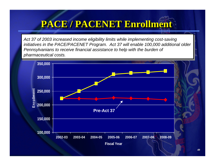# **PACE / PACENET Enrollment PACE / PACENET Enrollment PACE / PACENET Enrollment**

*Act 37 of 2003 increased income eligibility limits while implementing cost-saving initiatives in the PACE/PACENET Program. Act 37 will enable 100,000 additional older Pennsylvanians to receive financial assistance to help with the burden of pharmaceutical costs.*

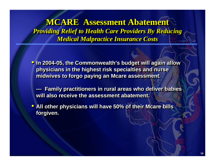**MCARE Assessment Abatement MCARE Assessment Abatement MCARE Assessment Abatement** *Providing Relief to Health Care Providers By Reducing Providing Relief to Health Care Providers By Reducing Providing Relief to Health Care Providers By Reducing Medical Malpractice Insurance Costs Medical Malpractice Insurance Costs Medical Malpractice Insurance Costs*

- **In 2004-05, the Commonwealth's budget will again allow physicians in the highest risk specialties and nurse physicians in the highest ri physicians in the highest risk specialties and nurse sk specialties and nurse midwives to forgo paying an Mcare assessment. midwives to forgo paying an midwives to forgo paying an Mcare assessment. assessment.**
	- **— Family practitioners in rural areas who deliver babies will also receive the assessment abatement.will also receive the assessment abatement. will also receive the assessment abatement. Family practitioners in rural areas who deliver babies**
- **All other physicians will have 50% of their Mcare bills forgiven. forgiven. forgiven.**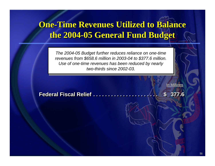## **One-Time Revenues Utilized to Balance the 2004-05 General Fund Budget the 2004 the 2004 -05 General Fund Budget 05 General Fund Budget**

*The 2004-05 Budget further reduces reliance on one-time revenues from \$658.6 million in 2003-04 to \$377.6 million. Use of one-time revenues has been reduced by nearly two-thirds since 2002-03.*

<u>In Millions</u>

**Federal Fiscal Relief Federal Fiscal Relief Federal Fiscal Relief . . . . . . . . . . . . . . . . . . . . . . . . . . . . . . . . . . . . . . . . . . . . . . . . . . . . . . . . . . . . . . . . . . \$ 377.6 \$ 377.6**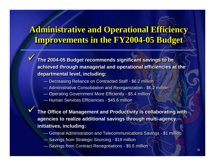## **Administrative and Operational Efficiency Administrative and Operational Efficiency Administrative and Operational Efficiency Improvements in the FY2004-05 Budget Improvements in the FY2004 Improvements in the FY2004 -05 Budget 05 Budget**

 **The 2004-05 Budget recommends significant savings to be The 2004-05 Budget recommends significant savings to be achieved through managerial and operational efficiencies at the achieved through managerial and operational efficiencies at the departmental level, including: departmental level, including:**

- Decreasing Reliance on Contracted Staff \$6.2 million Decreasing Reliance on Contracted Staff \$6.2 million
- Administrative Consolidation and Reorganization \$6.2 million Administrative Consolidation and Reorganization \$6.2 million
- Operating Government More Efficiently \$5.4 million Operating Government More Efficiently \$5.4 million
- Human Services Efficiencies \$45.6 million Human Services Efficiencies \$45.6 million

 $\checkmark$ 

 $\checkmark$ 

 $\checkmark$ 

 $\checkmark$ 

 **The Office of Management and Productivity is collaborating with The Office of Management and Productivity is collaborating with agencies to realize additional savings through multi-agency agencies to realize additional savings through multi-agency initiatives, including: initiatives, including:**

- General Administration and Telecommunications Savings \$1 million General Administration and Telecommunications Savings \$1 million
- Savings from Strategic Sourcing \$19 million Savings from Strategic Sourcing \$19 million
- Savings from Contract Renegotiations \$5.5 million Savings from Contract Renegotiations \$5.5 million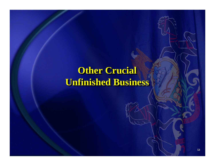# **Other Crucial Unfinished Business Unfinished Business Unfinished Business**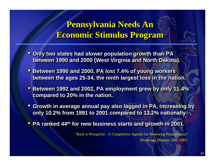#### **Pennsylvania Needs An Pennsylvania Needs An Pennsylvania Needs An Economic Stimulus Program Economic Stimulus Program Economic Stimulus Program**

- **Only two states had slower population growth than PA between 1990 and 2000 (West Virginia and North Dakota). between 1990 and 2000 (West Virginia and North Dakota). between 1990 and 2000 (West Virginia and North Dakota).**
- **Between 1990 and 2000, PA lost 7.4% of young workers between the ages 25-34, the ninth largest loss in the nation. between the ages 25 between the ages 25 -34, the ninth largest loss in the nation. 34, the ninth largest loss in the nation.**
- **Between 1992 and 2002, PA employment grew by only 11.4% compared to 20% in the nation. compared to 20% in the nation. compared to 20% in the nation.**
- **Growth in average annual pay also lagged in PA, increasing by Growth in average annual pay also Growth in average annual pay also lagged in PA, increasing by lagged in PA, increasing by only 10.2% from 1991 to 2001 compared to 13.2% nationally. only 10.2% from 1991 to 2001 co only 10.2% from 1991 to 2001 compared to 13.2% nationally. mpared to 13.2% nationally.**
- **PA ranked 44<sup>th</sup> for new business starts and growth in 2001.**

"Back to Prosperity: A Competitive Agenda for Renewing Pennsylvania" Brookings Institute, Dec. 2003.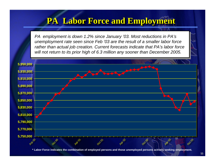#### **PA Labor Force and Employment PA Labor Force and Employment PA Labor Force and Employment**

*PA employment is down 1.2% since January '03. Most reductions in PA's unemployment rate seen since Feb '03 are the result of a smaller labor force rather than actual job creation. Current forecasts indicate that PA's labor force will not return to its prior high of 6.3 million any sooner than December 2005.*



**\* Labor Force indicates the combination of employed persons and those unemployed persons actively seeking employment.**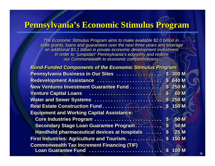#### **Pennsylvania's Economic Stimulus Program Pennsylvania's Economic Stimulus Program**

The Economic Stimulus Program aims to make available \$2.0 billion in state grants, loans and guarantees over the next three years and leverage an additional \$3.1 billion in private economic development investment *in order to "jumpstart" Pennsylvania's economy and restore in order to "jumpstart" Penns in order to Pennsylvania's economy and restore ylvania's economy and restore our Commonwealth to economic competitiveness. our Commonwealth to economic competitiveness. our Commonwealth to economic competitiveness.*

| <b>Bond-Funded Components of the Economic Stimulus Program:</b> |                           |              |
|-----------------------------------------------------------------|---------------------------|--------------|
| Pennsylvania Business in Our Sites                              |                           | \$ 300 M     |
| Redevelopment Assistance                                        | $\mathbf{s}$              | 640 M        |
| <b>New Ventures Investment Guarantee Fund</b>                   |                           | \$ 250 M     |
| Venture Capital Loans                                           | $\boldsymbol{\mathsf{s}}$ | 60 M         |
| Water and Sewer Systems                                         |                           | \$ 250 M     |
| Real Estate Construction Fund                                   | $\mathbf{s}$              | <b>150 M</b> |
| <b>Equipment and Working Capital Assistance:</b>                |                           |              |
|                                                                 | $\mathbf{\$}$             | <b>50 M</b>  |
| Secondary Stage Loan Guarantee Program \$                       |                           | <b>50 M</b>  |
| <b>Handheld pharmaceutical devices at hospitals </b>            | $\mathbf{s}$              | <b>25 M</b>  |
| First Industries: Agriculture and Tourism\$                     |                           | <b>150 M</b> |
| <b>Commonwealth Tax Increment Financing (TIF)</b>               |                           |              |
| Loan Guarantee Fund  \$ 100 M                                   |                           |              |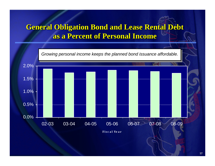#### **General Obligation Bond and Lease Rental Debt General Obligation Bond and Lease Rental Debt General Obligation Bond and Lease Rental Debt as a Percent of Personal Incomeas a Percent of Personal Income as a Percent of Personal Income**

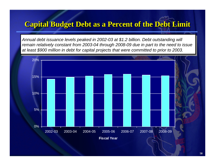#### **Capital Budget Debt as a Percent of the Debt Limit**

*Annual debt issuance levels peaked in 2002-03 at \$1.2 billion. Debt outstanding will remain relatively constant from 2003-04 through 2008-09 due in part to the need to issue at least \$900 million in debt for capital projects that were committed to prior to 2003.*

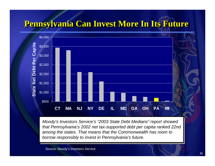## **Pennsylvania Can Invest More In Its Future Pennsylvania Can Invest More In Its Future Pennsylvania Can Invest More In Its Future**



*Moody's Investors Service's "2003 State Debt Medians" report showed that Pennsylvania's 2002 net tax-supported debt per capita ranked 22nd among the states. That means that the Commonwealth has room to borrow responsibly to invest in Pennsylvania's future.*

Source: Moody's Investors Service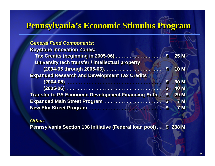#### **Pennsylvania's Economic Stimulus Program Pennsylvania's Economic Stimulus Program**

| <b>General Fund Components:</b>                            |                  |                |
|------------------------------------------------------------|------------------|----------------|
| <b>Keystone Innovation Zones:</b>                          |                  |                |
|                                                            |                  | <b>25 M</b>    |
| University tech transfer / intellectual property           |                  |                |
|                                                            |                  | <b>10 M</b>    |
| <b>Expanded Research and Development Tax Credits</b>       |                  |                |
|                                                            | $\mathbf{s}$     | <b>30 M</b>    |
|                                                            | $\boldsymbol{s}$ | <b>40 M</b>    |
| <b>Transfer to PA Economic Development Financing Auth.</b> | $\mathbf{s}$     | 29 M           |
| Expanded Main Street Program                               | $\mathbf{s}$     | 7 <sub>M</sub> |
|                                                            | $\mathbf{s}$     | 7 <sub>M</sub> |

#### *Other:Other:*

Pennsylvania Section 108 Initiative (Federal Ioan pool). \$ 288 M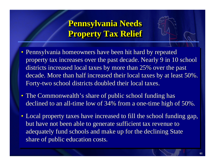## **Pennsylvania Needs Pennsylvania Needs Pennsylvania Needs Property Tax Relief Property Tax Relief Property Tax Relief**

- Pennsylvania homeowners have been hit hard by repeated property tax increases over the past decade. Nearly 9 in 10 school districts increased local taxes by more than 25% over the past decade. More than half increased their local taxes by at least 50%.  $\mid$ Forty-two school districts doubled their local taxes. Forty -two school districts doubled their local taxes. two school districts doubled their local taxes.
- The Commonwealth's share of public school funding has declined to an all-time low of  $34\%$  from a one-time high of  $50\%$ .
- Local property taxes have increased to fill the school funding gap, but have not been able to generate sufficient tax revenue to adequately fund schools and make up for the declining State share of public education costs.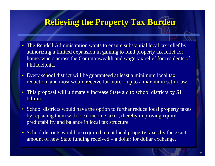#### **Relieving the Property Tax Burden**

- The Rendell Administration wants to ensure substantial local tax relief by authorizing a limited expansion in gaming to fund property tax relief for homeowners across the Commonwealth and wage tax relief for residents of Philadelphia.
- Every school district will be guaranteed at least a minimum local tax reduction, and most would receive far more – up to a maximum set in law. reduction, and most would receive far more reduction, and most would receive far more –– up to a maximum set in law.
- This proposal will ultimately increase State aid to school districts by \$1 billion.
- School districts would have the option to further reduce local property taxes by replacing them with local income taxes, thereby improving equity, predictability and balance in local tax structure. predictability and balance in local tax structure. predictability and balance in local tax structure.
- School districts would be required to cut local property taxes by the exact amount of new State funding received – a dollar for dollar exchange. – a dollar for dollar exchange.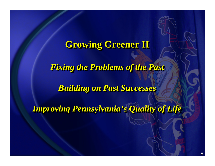## **Growing Greener II Growing Greener II Growing Greener II**

*Fixing the Problems of the Past Fixing the Problems of the Past Fixing the Problems of the Past*

*Building on Past Successes Building on Past Successes Building on Past Successes*

*Improving Pennsylvania's Quality of Life Improving Pennsylvania's Quality of Life Improving Pennsylvania's Quality of Life*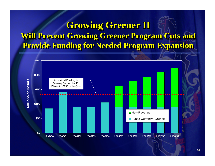## Growing Greener II **Will Prevent Growing Greener Program Cuts and Provide Funding for Needed Program Expansion Provide Funding for Needed Program Expansion Provide Funding for Needed Program Expansion**

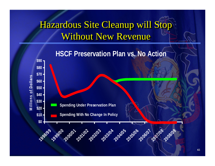# Hazardous Site Cleanup will Stop Without New Revenue

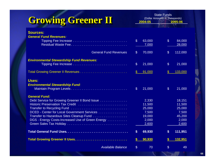| Growing Greener II                                                     | <b>State Funds</b><br>(Dollar Amounts in Thousands) |         |                           |         |
|------------------------------------------------------------------------|-----------------------------------------------------|---------|---------------------------|---------|
|                                                                        |                                                     | 2004-05 |                           | 2005-06 |
| <b>Sources:</b>                                                        |                                                     |         |                           |         |
| <b>General Fund Revenues:</b>                                          |                                                     |         |                           |         |
|                                                                        | $\mathfrak{L}$                                      | 63,000  | $\mathfrak{L}$            | 84,000  |
|                                                                        |                                                     | 7,000   |                           | 28,000  |
|                                                                        |                                                     |         |                           |         |
| <b>General Fund Revenues</b>                                           | $\boldsymbol{\mathsf{S}}$                           | 70,000  | $\mathcal{S}$             | 112,000 |
| <b>Environmental Stewardship Fund Revenues:</b>                        |                                                     |         |                           |         |
|                                                                        | $\mathcal{S}$                                       | 21,000  | $\mathfrak{L}$            | 21,000  |
|                                                                        |                                                     |         |                           |         |
|                                                                        | \$                                                  | 91,000  | $\boldsymbol{\mathsf{S}}$ | 133,000 |
| Uses:                                                                  |                                                     |         |                           |         |
| <b>Environmental Stewardship Fund:</b>                                 |                                                     |         |                           |         |
|                                                                        | $\mathcal{L}$                                       | 21,000  | $\mathfrak{L}$            | 21,000  |
|                                                                        |                                                     |         |                           |         |
| <b>General Fund:</b><br>Debt Service for Growing Greener II Bond Issue |                                                     | 2,330   |                           | 18,151  |
| Historic Preservation Tax Credit                                       |                                                     | 11,500  |                           | 11,500  |
|                                                                        |                                                     | 25,000  |                           | 25,000  |
| DCED - Center for Local Government Services                            |                                                     | 7,500   |                           | 7,500   |
|                                                                        |                                                     | 19,000  |                           | 45,200  |
| DGS - Energy Costs-Increased Use of Green Energy                       |                                                     | 2,000   |                           | 2,000   |
|                                                                        |                                                     | 2,600   |                           | 2,600   |
|                                                                        | $\boldsymbol{\$}$                                   | 69,930  | $\boldsymbol{\mathsf{s}}$ | 111,951 |
|                                                                        | S                                                   | 90,930  | S                         | 132,951 |
| <b>Available Balance</b>                                               | $\mathfrak{L}$                                      | 70      | $\mathfrak{L}$            | 49      |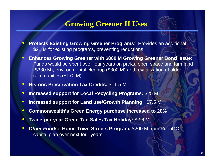#### **Growing Greener II Uses**

- $\bullet$  **Protects Existing Growing Greener Programs**: Provides an additional \$21 M for existing programs, preventing reductions.
- $\bullet$  **Enhances Growing Greener with \$800 M Growing Greener Bond Issue:** Funds would be spent over four years on parks, open space and farmland (\$330 M), environmental cleanup (\$300 M) and revitalization of older communities (\$170 M)
- $\bullet$ **Historic Preservation Tax Credits:** \$11.5 M
- $\bullet$ **Increased support for Local Recycling Programs:** \$25 M
- $\bullet$ **Increased support for Land use/Growth Planning:** \$7.5 M
- $\bullet$ **Commonwealth's Green Energy purchase increased to 20%**
- $\bullet$ **Twice-per-year Green Tag Sales Tax Holiday:** \$2.6 M
- $\bullet$  *Other Funds:* **Home Town Streets Program.** \$200 M from PennDOT capital plan over next four years.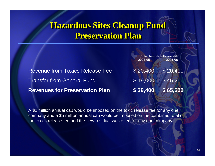#### **Hazardous Sites Cleanup Fund Hazardous Sites Cleanup Fund Hazardous Sites Cleanup Fund Preservation PlanPreservation Plan Preservation Plan**

(Dollar Amounts in Thousands) **2004-05 2005-06** 

| <b>Revenues for Preservation Plan</b>  | $$39,400$ $$65,600$                             |  |
|----------------------------------------|-------------------------------------------------|--|
| <b>Transfer from General Fund</b>      | $$19,000$ $$45,200$                             |  |
| <b>Revenue from Toxics Release Fee</b> | $\frac{1}{2}$ \$ 20,400 $\frac{1}{2}$ \$ 20,400 |  |

A \$2 million annual cap would be imposed on the toxic release fee for any one company and a \$5 million annual cap would be imposed on the combined total of the toxics release fee and the new residual waste fee for any one company.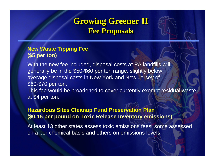#### Growing Greener II **Fee Proposals Fee Proposals Fee Proposals**



With the new fee included, disposal costs at PA landfills will generally be in the \$50-\$60 per ton range, slightly below average disposal costs in New York and New Jersey of \$60-\$70 per ton.

This fee would be broadened to cover currently exempt residual waste at \$4 per ton.

#### **Hazardous Sites Cleanup Fund Preservation Plan (\$0.15 per pound on Toxic Release Inventory emissions)**

At least 13 other states assess toxic emissions fees, some assessed on a per chemical basis and others on emissions levels.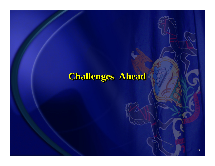# **Challenges Ahead Challenges Ahead Challenges Ahead**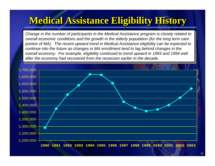# **Medical Assistance Eligibility History Medical Assistance Eligibility History Medical Assistance Eligibility History**

*Change in the number of participants in the Medical Assistance program is closely related to overall economic conditions and the growth in the elderly population (for the long term care portion of MA). The recent upward trend in Medical Assistance eligibility can be expected to continue into the future as changes in MA enrollment tend to lag behind changes in the overall economy. For example, eligibility continued to trend upward in 1993 and 1994 well after the economy had recovered from the recession earlier in the decade.*

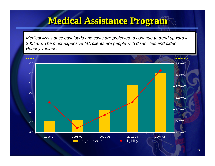## **Medical Assistance Program Medical Assistance Program Medical Assistance Program**

*Medical Assistance caseloads and costs are projected to continue to trend upward in 2004-05. The most expensive MA clients are people with disabilities and older Pennsylvanians.* 

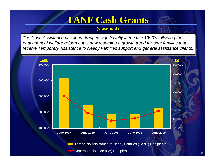## **TANF Cash Grants TANF Cash Grants TANF Cash Grants**

#### **(Caseload) (Caseload) (Caseload)**

*The Cash Assistance caseload dropped significantly in the late 1990's following the enactment of welfare reform but is now resuming a growth trend for both families that receive Temporary Assistance to Needy Families support and general assistance clients.* 

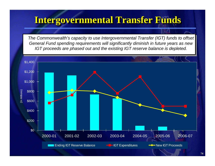### **Intergovernmental Transfer Funds Intergovernmental Transfer Funds Intergovernmental Transfer Funds**

*The Commonwealth's capacity to use Intergovernmental Transfer (IGT) funds to offset General Fund spending requirements will significantly diminish in future years as new IGT proceeds are phased out and the existing IGT reserve balance is depleted.*

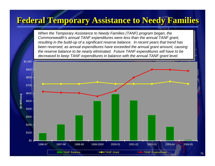### **Federal Temporary Assistance to Needy Families Federal Temporary Assistance to Needy Families Federal Temporary Assistance to Needy Families**

*When the Temporary Assistance to Needy Families (TANF) program began, the Commonwealth's annual TANF expenditures were less than the annual TANF grant, resulting in the build-up of a significant reserve balance. In recent years that trend has been reversed, as annual expenditures have exceeded the annual grant amount, causing the reserve balance to be nearly eliminated. Future TANF expenditures will have to be decreased to keep TANF expenditures in balance with the annual TANF grant level.*

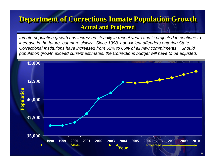#### **Department of Corrections Inmate Population Growth Department of Corrections Inmate Population Growth Department of Corrections Inmate Population Growth Actual and Projected Actual and Projected Actual and Projected**

*Inmate population growth has increased steadily in recent years and is projected to continue to increase in the future, but more slowly. Since 1998, non-violent offenders entering State Correctional Institutions have increased from 52% to 65% of all new commitments. Should population growth exceed current estimates, the Corrections budget will have to be adjusted.*

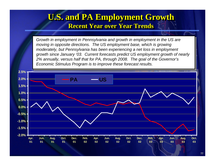#### **U.S. and PA Employment Growth U.S. and PA Employment Growth U.S. and PA Employment Growth Recent Year over Year TrendsRecent Year over Year Trends Recent Year over Year Trends**

*Growth in employment in Pennsylvania and growth in employment in the US are moving in opposite directions. The US employment base, which is growing moderately, but Pennsylvania has been experiencing a net loss in employment growth since January '03. Current forecasts predict US employment growth of nearly 2% annually, versus half that for PA, through 2008. The goal of the Governor's Economic Stimulus Program is to improve these forecast results.*

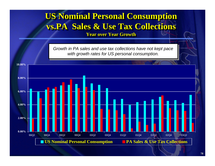### **US Nominal Personal Consumption vs.PA Sales & Use Tax Collections vs.PA Sales & Use Tax Collections vs.PA Sales & Use Tax Collections**

**Year over Year GrowthYear over Year Growth Year over Year Growth**

*Growth in PA sales and use tax collections have not kept pace with growth rates for US personal consumption.*

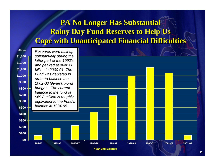#### **PA No Longer Has Substantial PA No Longer Has Substantial Rainy Day Fund Reserves to Help Us Rainy Day Fund Reserves to Help Us Cope with Unanticipated Financial Difficulties Cope with Unanticipated Financial Difficulties**